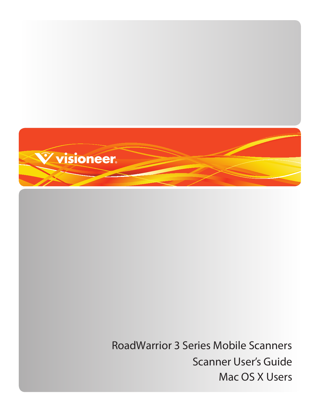

RoadWarrior 3 Series Mobile Scanners Scanner User's Guide Mac OS X Users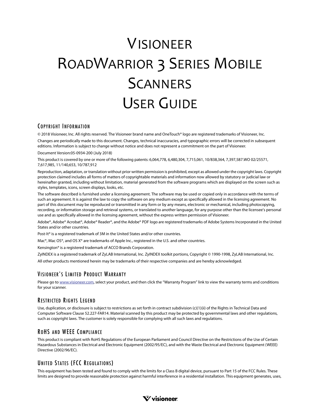## VISIONEER ROADWARRIOR 3 SERIES MOBILE **SCANNERS** USER GUIDE

#### C OPYRIGHT I NFORMATION

© 2018 Visioneer, Inc. All rights reserved. The Visioneer brand name and OneTouch® logo are registered trademarks of Visioneer, Inc. Changes are periodically made to this document. Changes, technical inaccuracies, and typographic errors will be corrected in subsequent editions. Information is subject to change without notice and does not represent a commitment on the part of Visioneer.

Document Version:05-0934-200 (July 2018)

This product is covered by one or more of the following patents: 6,064,778, 6,480,304, 7,715,061, 10/838,364, 7,397,587.WO 02/25571, 7,617,985, 11/140,653, 10/787,912

Reproduction, adaptation, or translation without prior written permission is prohibited, except as allowed under the copyright laws. Copyright protection claimed includes all forms of matters of copyrightable materials and information now allowed by statutory or judicial law or hereinafter granted, including without limitation, material generated from the software programs which are displayed on the screen such as styles, templates, icons, screen displays, looks, etc.

The software described is furnished under a licensing agreement. The software may be used or copied only in accordance with the terms of such an agreement. It is against the law to copy the software on any medium except as specifically allowed in the licensing agreement. No part of this document may be reproduced or transmitted in any form or by any means, electronic or mechanical, including photocopying, recording, or information storage and retrieval systems, or translated to another language, for any purpose other than the licensee's personal use and as specifically allowed in the licensing agreement, without the express written permission of Visioneer.

Adobe®, Adobe® Acrobat®, Adobe® Reader®, and the Adobe® PDF logo are registered trademarks of Adobe Systems Incorporated in the United States and/or other countries.

Post-It<sup>®</sup> is a registered trademark of 3M in the United States and/or other countries.

Mac®, Mac OS®, and OS X® are trademarks of Apple Inc., registered in the U.S. and other countries.

Kensington® is a registered trademark of ACCO Brands Corporation.

ZyINDEX is a registered trademark of ZyLAB International, Inc. ZyINDEX toolkit portions, Copyright © 1990-1998, ZyLAB International, Inc.

All other products mentioned herein may be trademarks of their respective companies and are hereby acknowledged.

#### VISIONEER'S LIMITED PRODUCT WARRANTY

Please go to www.visioneer.com, select your product, and then click the "Warranty Program" link to view the warranty terms and conditions for your scanner.

#### RESTRICTED RIGHTS LEGEND

Use, duplication, or disclosure is subject to restrictions as set forth in contract subdivision (c)(1)(ii) of the Rights in Technical Data and Computer Software Clause 52.227-FAR14. Material scanned by this product may be protected by governmental laws and other regulations, such as copyright laws. The customer is solely responsible for complying with all such laws and regulations.

#### ROHS AND WEEE COMPLIANCE

This product is compliant with RoHS Regulations of the European Parliament and Council Directive on the Restrictions of the Use of Certain Hazardous Substances in Electrical and Electronic Equipment (2002/95/EC), and with the Waste Electrical and Electronic Equipment (WEEE) Directive (2002/96/EC).

#### UNITED STATES (FCC REGULATIONS)

This equipment has been tested and found to comply with the limits for a Class B digital device, pursuant to Part 15 of the FCC Rules. These limits are designed to provide reasonable protection against harmful interference in a residential installation. This equipment generates, uses,

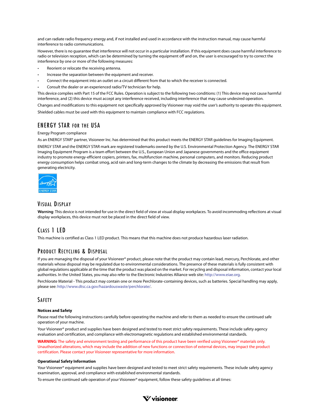and can radiate radio frequency energy and, if not installed and used in accordance with the instruction manual, may cause harmful interference to radio communications.

However, there is no guarantee that interference will not occur in a particular installation. If this equipment does cause harmful interference to radio or television reception, which can be determined by turning the equipment off and on, the user is encouraged to try to correct the interference by one or more of the following measures:

- Reorient or relocate the receiving antenna.
- Increase the separation between the equipment and receiver.
- Connect the equipment into an outlet on a circuit different from that to which the receiver is connected.
- Consult the dealer or an experienced radio/TV technician for help.

This device complies with Part 15 of the FCC Rules. Operation is subject to the following two conditions: (1) This device may not cause harmful interference, and (2) this device must accept any interference received, including interference that may cause undesired operation.

Changes and modifications to this equipment not specifically approved by Visioneer may void the user's authority to operate this equipment. Shielded cables must be used with this equipment to maintain compliance with FCC regulations.

#### ENERGY STAR FOR THE USA

#### Energy Program compliance

As an ENERGY STAR® partner, Visioneer Inc. has determined that this product meets the ENERGY STAR guidelines for Imaging Equipment.

ENERGY STAR and the ENERGY STAR mark are registered trademarks owned by the U.S. Environmental Protection Agency. The ENERGY STAR Imaging Equipment Program is a team effort between the U.S., European Union and Japanese governments and the office equipment industry to promote energy-efficient copiers, printers, fax, multifunction machine, personal computers, and monitors. Reducing product energy consumption helps combat smog, acid rain and long-term changes to the climate by decreasing the emissions that result from generating electricity.



#### VISUAL DISPLAY

**Warning**: This device is not intended for use in the direct field of view at visual display workplaces. To avoid incommoding reflections at visual display workplaces, this device must not be placed in the direct field of view.

#### CLASS 1 LED

This machine is certified as Class 1 LED product. This means that this machine does not produce hazardous laser radiation.

#### PRODUCT RECYCLING & DISPOSAL

If you are managing the disposal of your Visioneer® product, please note that the product may contain lead, mercury, Perchlorate, and other materials whose disposal may be regulated due to environmental considerations. The presence of these materials is fully consistent with global regulations applicable at the time that the product was placed on the market. For recycling and disposal information, contact your local authorities. In the United States, you may also refer to the Electronic Industries Alliance web site: http://www.eiae.org.

Perchlorate Material - This product may contain one or more Perchlorate-containing devices, such as batteries. Special handling may apply, please see: http://www.dtsc.ca.gov/hazardouswaste/perchlorate/.

#### **SAFFTY**

#### **Notices and Safety**

Please read the following instructions carefully before operating the machine and refer to them as needed to ensure the continued safe operation of your machine.

Your Visioneer® product and supplies have been designed and tested to meet strict safety requirements. These include safety agency evaluation and certification, and compliance with electromagnetic regulations and established environmental standards.

**WARNING:** The safety and environment testing and performance of this product have been verified using Visioneer® materials only. Unauthorized alterations, which may include the addition of new functions or connection of external devices, may impact the product certification. Please contact your Visioneer representative for more information.

#### **Operational Safety Information**

Your Visioneer® equipment and supplies have been designed and tested to meet strict safety requirements. These include safety agency examination, approval, and compliance with established environmental standards.

To ensure the continued safe operation of your Visioneer® equipment, follow these safety quidelines at all times:

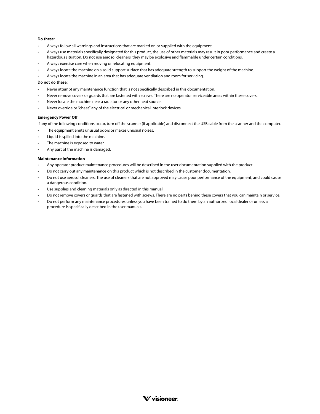#### **Do these:**

- Always follow all warnings and instructions that are marked on or supplied with the equipment.
- Always use materials specifically designated for this product, the use of other materials may result in poor performance and create a hazardous situation. Do not use aerosol cleaners, they may be explosive and flammable under certain conditions.
- Always exercise care when moving or relocating equipment.
- Always locate the machine on a solid support surface that has adequate strength to support the weight of the machine.
- Always locate the machine in an area that has adequate ventilation and room for servicing.

#### **Do not do these:**

- Never attempt any maintenance function that is not specifically described in this documentation.
- Never remove covers or guards that are fastened with screws. There are no operator serviceable areas within these covers.
- Never locate the machine near a radiator or any other heat source.
- Never override or "cheat" any of the electrical or mechanical interlock devices.

#### **Emergency Power Off**

If any of the following conditions occur, turn off the scanner (if applicable) and disconnect the USB cable from the scanner and the computer.

- The equipment emits unusual odors or makes unusual noises.
- Liquid is spilled into the machine.
- The machine is exposed to water.
- Any part of the machine is damaged.

#### **Maintenance Information**

- Any operator product maintenance procedures will be described in the user documentation supplied with the product.
- Do not carry out any maintenance on this product which is not described in the customer documentation.
- Do not use aerosol cleaners. The use of cleaners that are not approved may cause poor performance of the equipment, and could cause a dangerous condition.
- Use supplies and cleaning materials only as directed in this manual.
- Do not remove covers or guards that are fastened with screws. There are no parts behind these covers that you can maintain or service.
- Do not perform any maintenance procedures unless you have been trained to do them by an authorized local dealer or unless a procedure is specifically described in the user manuals.

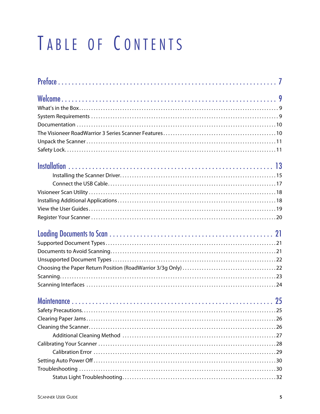# TABLE OF CONTENTS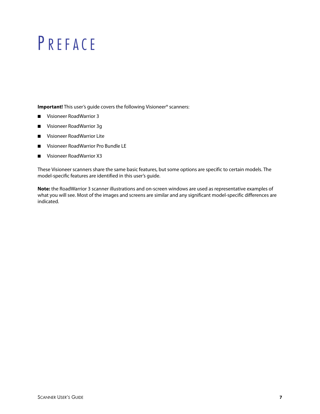# <span id="page-6-0"></span>P REFACE

**Important!** This user's guide covers the following Visioneer<sup>®</sup> scanners:

- Visioneer RoadWarrior 3
- Visioneer RoadWarrior 3g
- Visioneer RoadWarrior Lite
- Visioneer RoadWarrior Pro Bundle LE
- Visioneer RoadWarrior X3

These Visioneer scanners share the same basic features, but some options are specific to certain models. The model-specific features are identified in this user's guide.

**Note:** the RoadWarrior 3 scanner illustrations and on-screen windows are used as representative examples of what you will see. Most of the images and screens are similar and any significant model-specific differences are indicated.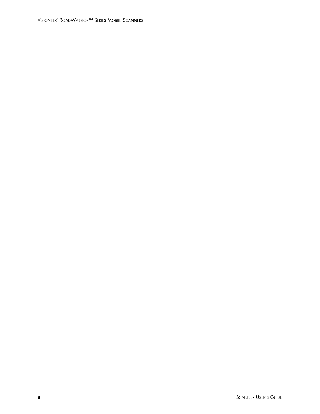VISIONEER® ROADWARRIORTM SERIES MOBILE SCANNERS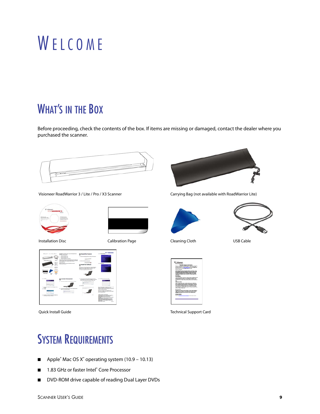# <span id="page-8-0"></span>W ELCOME

### <span id="page-8-1"></span>WHAT'S IN THE BOX

Before proceeding, check the contents of the box. If items are missing or damaged, contact the dealer where you purchased the scanner.







Installation Disc **Calibration Page** Cleaning Cloth USB Cable



### <span id="page-8-2"></span>SYSTEM REQUIREMENTS

- Apple® Mac OS X<sup>®</sup> operating system (10.9 10.13)
- 1.83 GHz or faster Intel® Core Processor
- DVD-ROM drive capable of reading Dual Layer DVDs



Visioneer RoadWarrior 3 / Lite / Pro / X3 Scanner Carrying Bag (not available with RoadWarrior Lite)







Quick Install Guide **Technical Support Card** Cuick Install Guide **Technical** Support Card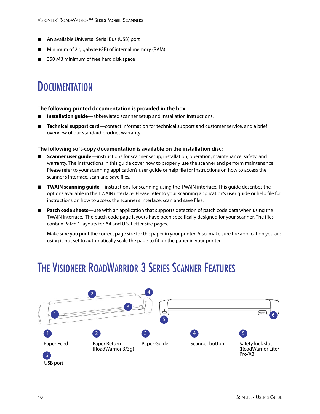- An available Universal Serial Bus (USB) port
- Minimum of 2 gigabyte (GB) of internal memory (RAM)
- 350 MB minimum of free hard disk space

### <span id="page-9-0"></span>**DOCUMENTATION**

#### **The following printed documentation is provided in the box:**

- **Installation guide**—abbreviated scanner setup and installation instructions.
- **Technical support card**—contact information for technical support and customer service, and a brief overview of our standard product warranty.

#### **The following soft-copy documentation is available on the installation disc:**

- **Scanner user guide**—instructions for scanner setup, installation, operation, maintenance, safety, and warranty. The instructions in this guide cover how to properly use the scanner and perform maintenance. Please refer to your scanning application's user guide or help file for instructions on how to access the scanner's interface, scan and save files.
- **TWAIN scanning guide**—instructions for scanning using the TWAIN interface. This guide describes the options available in the TWAIN interface. Please refer to your scanning application's user guide or help file for instructions on how to access the scanner's interface, scan and save files.
- **Patch code sheets**—use with an application that supports detection of patch code data when using the TWAIN interface. The patch code page layouts have been specifically designed for your scanner. The files contain Patch 1 layouts for A4 and U.S. Letter size pages.

Make sure you print the correct page size for the paper in your printer. Also, make sure the application you are using is not set to automatically scale the page to fit on the paper in your printer.

### <span id="page-9-1"></span>THE VISIONEER ROADWARRIOR 3 SERIES SCANNER FEATURES



#### **10** SCANNER USER'S GUIDE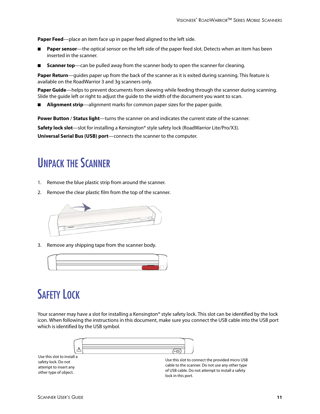**Paper Feed**—place an item face up in paper feed aligned to the left side.

- Paper sensor—the optical sensor on the left side of the paper feed slot. Detects when an item has been inserted in the scanner.
- **Scanner top**—can be pulled away from the scanner body to open the scanner for cleaning.

**Paper Return**—guides paper up from the back of the scanner as it is exited during scanning. This feature is available on the RoadWarrior 3 and 3g scanners only.

Paper Guide—helps to prevent documents from skewing while feeding through the scanner during scanning. Slide the guide left or right to adjust the guide to the width of the document you want to scan.

**Alignment strip**—alignment marks for common paper sizes for the paper guide.

**Power Button** / **Status light**—turns the scanner on and indicates the current state of the scanner.

**Safety lock slot**—slot for installing a Kensington® style safety lock (RoadWarrior Lite/Pro/X3).

**Universal Serial Bus (USB) port**—connects the scanner to the computer.

### <span id="page-10-0"></span>UNPACK THE SCANNER

- 1. Remove the blue plastic strip from around the scanner.
- 2. Remove the clear plastic film from the top of the scanner.



3. Remove any shipping tape from the scanner body.



### <span id="page-10-1"></span>**SAFETY LOCK**

Your scanner may have a slot for installing a Kensington® style safety lock. This slot can be identified by the lock icon. When following the instructions in this document, make sure you connect the USB cable into the USB port which is identified by the USB symbol.

| e                          |                       |
|----------------------------|-----------------------|
| Use this slot to install a |                       |
| safety lock. Do not        | Use this slot to conn |
| attempt to insert any      | cable to the scanner  |

ect the provided micro USB r. Do not use any other type of USB cable. Do not attempt to install a safety lock in this port.

other type of object.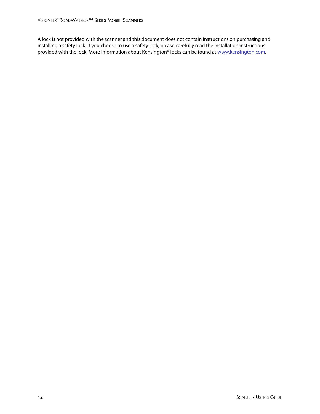A lock is not provided with the scanner and this document does not contain instructions on purchasing and installing a safety lock. If you choose to use a safety lock, please carefully read the installation instructions provided with the lock. More information about Kensington® locks can be found at www.kensington.com.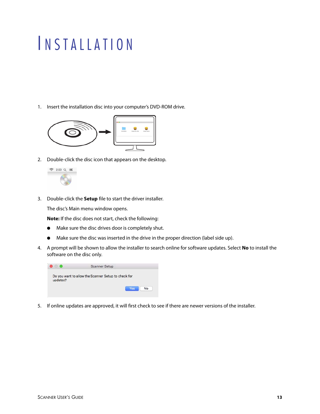## <span id="page-12-0"></span>**INSTALLATION**

1. Insert the installation disc into your computer's DVD-ROM drive.



2. Double-click the disc icon that appears on the desktop.



3. Double-click the **Setup** file to start the driver installer.

The disc's Main menu window opens.

**Note:** If the disc does not start, check the following:

- Make sure the disc drives door is completely shut.
- Make sure the disc was inserted in the drive in the proper direction (label side up).
- 4. A prompt will be shown to allow the installer to search online for software updates. Select **No** to install the software on the disc only.

|          | <b>Scanner Setup</b>                                |
|----------|-----------------------------------------------------|
| updates? | Do you want to allow the Scanner Setup to check for |
|          | No<br>Yes                                           |

5. If online updates are approved, it will first check to see if there are newer versions of the installer.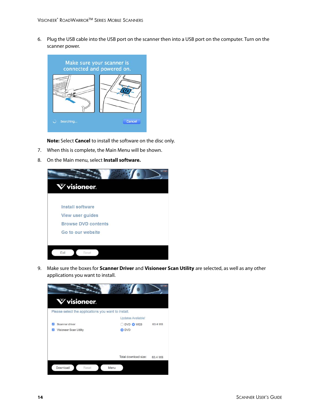6. Plug the USB cable into the USB port on the scanner then into a USB port on the computer. Turn on the scanner power.



**Note:** Select **Cancel** to install the software on the disc only.

- 7. When this is complete, the Main Menu will be shown.
- 8. On the Main menu, select **Install software.**



9. Make sure the boxes for **Scanner Driver** and **Visioneer Scan Utility** are selected, as well as any other applications you want to install.

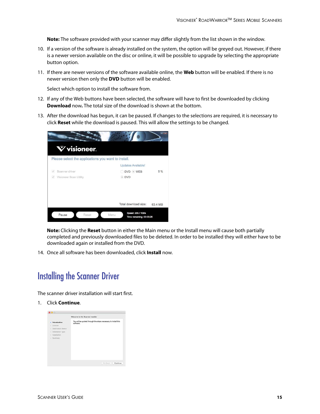**Note:** The software provided with your scanner may differ slightly from the list shown in the window.

- 10. If a version of the software is already installed on the system, the option will be greyed out. However, if there is a newer version available on the disc or online, it will be possible to upgrade by selecting the appropriate button option.
- 11. If there are newer versions of the software available online, the **Web** button will be enabled. If there is no newer version then only the **DVD** button will be enabled.

Select which option to install the software from.

- 12. If any of the Web buttons have been selected, the software will have to first be downloaded by clicking **Download** now**.** The total size of the download is shown at the bottom.
- 13. After the download has begun, it can be paused. If changes to the selections are required, it is necessary to click **Reset** while the download is paused. This will allow the settings to be changed.

|              | $\hat{\mathbf{V}}$ visioneer.                       |                                                       |         |
|--------------|-----------------------------------------------------|-------------------------------------------------------|---------|
|              | Please select the applications you want to install. |                                                       |         |
|              |                                                     | <b>Updates Avaliable!</b>                             |         |
| $\sqrt{}$    | Scanner driver                                      | DVD WEB                                               | 5 %     |
| $\checkmark$ | Visioneer Scan Utility                              | · DVD                                                 |         |
|              |                                                     | Total download size:                                  | 63.4 MB |
|              | Reset<br>Pause                                      | Speed: 296.7 KB/s<br>Menu<br>Time remaining: 00:03:26 |         |

**Note:** Clicking the **Reset** button in either the Main menu or the Install menu will cause both partially completed and previously downloaded files to be deleted. In order to be installed they will either have to be downloaded again or installed from the DVD.

14. Once all software has been downloaded, click **Install** now.

#### <span id="page-14-0"></span>Installing the Scanner Driver

The scanner driver installation will start first.

1. Click **Continue**.

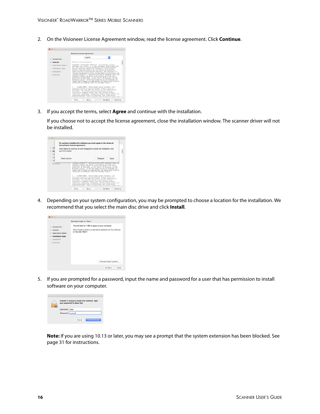2. On the Visioneer License Agreement window, read the license agreement. Click **Continue**.



3. If you accept the terms, select **Agree** and continue with the installation.

If you choose not to accept the license agreement, close the installation window. The scanner driver will not be installed.



4. Depending on your system configuration, you may be prompted to choose a location for the installation. We recommend that you select the main disc drive and click **Install**.



5. If you are prompted for a password, input the name and password for a user that has permission to install software on your computer.



**Note:** If you are using 10.13 or later, you may see a prompt that the system extension has been blocked. See [page 31](#page-30-0) for instructions.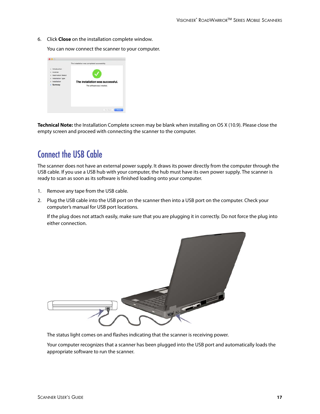6. Click **Close** on the installation complete window.

You can now connect the scanner to your computer.



**Technical Note:** the Installation Complete screen may be blank when installing on OS X (10.9). Please close the empty screen and proceed with connecting the scanner to the computer.

### <span id="page-16-0"></span>Connect the USB Cable

The scanner does not have an external power supply. It draws its power directly from the computer through the USB cable. If you use a USB hub with your computer, the hub must have its own power supply. The scanner is ready to scan as soon as its software is finished loading onto your computer.

- 1. Remove any tape from the USB cable.
- 2. Plug the USB cable into the USB port on the scanner then into a USB port on the computer. Check your computer's manual for USB port locations.

If the plug does not attach easily, make sure that you are plugging it in correctly. Do not force the plug into either connection.



The status light comes on and flashes indicating that the scanner is receiving power.

Your computer recognizes that a scanner has been plugged into the USB port and automatically loads the appropriate software to run the scanner.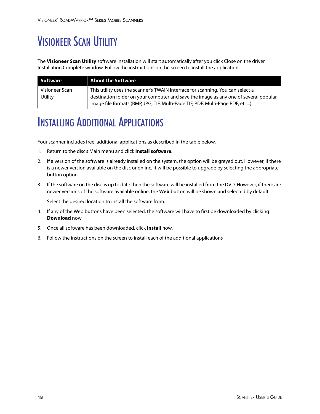## <span id="page-17-0"></span>VISIONEER SCAN UTILITY

The **Visioneer Scan Utility** software installation will start automatically after you click Close on the driver Installation Complete window. Follow the instructions on the screen to install the application.

| Software       | <b>About the Software</b>                                                            |
|----------------|--------------------------------------------------------------------------------------|
| Visioneer Scan | This utility uses the scanner's TWAIN interface for scanning. You can select a       |
| Utility        | destination folder on your computer and save the image as any one of several popular |
|                | image file formats (BMP, JPG, TIF, Multi-Page TIF, PDF, Multi-Page PDF, etc).        |

### <span id="page-17-1"></span>INSTALLING ADDITIONAL APPLICATIONS

Your scanner includes free, additional applications as described in the table below.

- 1. Return to the disc's Main menu and click **Install software**.
- 2. If a version of the software is already installed on the system, the option will be greyed out. However, if there is a newer version available on the disc or online, it will be possible to upgrade by selecting the appropriate button option.
- 3. If the software on the disc is up to date then the software will be installed from the DVD. However, if there are newer versions of the software available online, the **Web** button will be shown and selected by default.

Select the desired location to install the software from.

- 4. If any of the Web buttons have been selected, the software will have to first be downloaded by clicking **Download** now.
- 5. Once all software has been downloaded, click **Install** now.
- 6. Follow the instructions on the screen to install each of the additional applications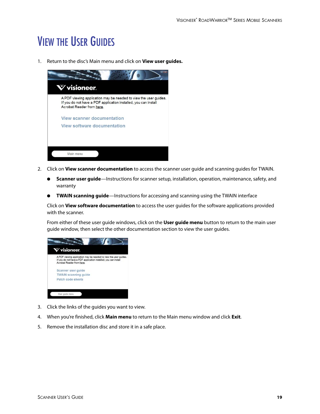### <span id="page-18-0"></span>VIEW THE USER GUIDES

1. Return to the disc's Main menu and click on **View user guides.**



- 2. Click on **View scanner documentation** to access the scanner user guide and scanning guides for TWAIN.
	- **Scanner user guide**—Instructions for scanner setup, installation, operation, maintenance, safety, and warranty
	- **TWAIN scanning guide**—Instructions for accessing and scanning using the TWAIN interface

Click on **View software documentation** to access the user guides for the software applications provided with the scanner.

From either of these user guide windows, click on the **User guide menu** button to return to the main user guide window, then select the other documentation section to view the user guides.



- 3. Click the links of the guides you want to view.
- 4. When you're finished, click **Main menu** to return to the Main menu window and click **Exit**.
- 5. Remove the installation disc and store it in a safe place.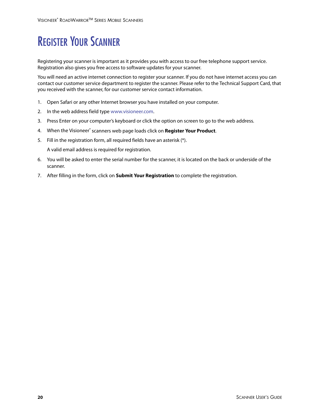## <span id="page-19-0"></span>REGISTER YOUR SCANNER

Registering your scanner is important as it provides you with access to our free telephone support service. Registration also gives you free access to software updates for your scanner.

You will need an active internet connection to register your scanner. If you do not have internet access you can contact our customer service department to register the scanner. Please refer to the Technical Support Card, that you received with the scanner, for our customer service contact information.

- 1. Open Safari or any other Internet browser you have installed on your computer.
- 2. In the web address field type www.visioneer.com.
- 3. Press Enter on your computer's keyboard or click the option on screen to go to the web address.
- 4. When the Visioneer<sup>®</sup> scanners web page loads click on **Register Your Product**.
- 5. Fill in the registration form, all required fields have an asterisk (\*). A valid email address is required for registration.
- 6. You will be asked to enter the serial number for the scanner, it is located on the back or underside of the scanner.
- 7. After filling in the form, click on **Submit Your Registration** to complete the registration.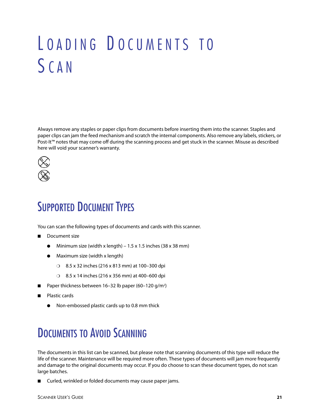# <span id="page-20-0"></span>LOADING DOCUMENTS TO S CAN

Always remove any staples or paper clips from documents before inserting them into the scanner. Staples and paper clips can jam the feed mechanism and scratch the internal components. Also remove any labels, stickers, or Post-It™ notes that may come off during the scanning process and get stuck in the scanner. Misuse as described here will void your scanner's warranty.



### <span id="page-20-1"></span>SUPPORTED DOCUMENT TYPES

You can scan the following types of documents and cards with this scanner.

- Document size
	- Minimum size (width x length)  $1.5 \times 1.5$  inches (38 x 38 mm)
	- Maximum size (width x length)
		- ❍ 8.5 x 32 inches (216 x 813 mm) at 100–300 dpi
		- ❍ 8.5 x 14 inches (216 x 356 mm) at 400–600 dpi
- Paper thickness between  $16-32$  lb paper (60-120 g/m<sup>2</sup>)
- Plastic cards
	- Non-embossed plastic cards up to 0.8 mm thick

### <span id="page-20-2"></span>DOCUMENTS TO AVOID SCANNING

The documents in this list can be scanned, but please note that scanning documents of this type will reduce the life of the scanner. Maintenance will be required more often. These types of documents will jam more frequently and damage to the original documents may occur. If you do choose to scan these document types, do not scan large batches.

■ Curled, wrinkled or folded documents may cause paper jams.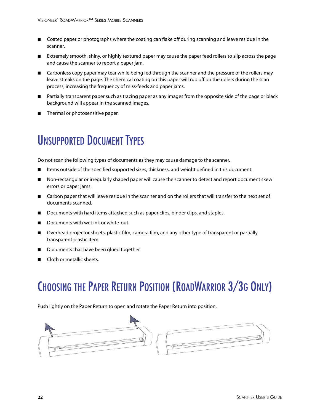- Coated paper or photographs where the coating can flake off during scanning and leave residue in the scanner.
- Extremely smooth, shiny, or highly textured paper may cause the paper feed rollers to slip across the page and cause the scanner to report a paper jam.
- Carbonless copy paper may tear while being fed through the scanner and the pressure of the rollers may leave streaks on the page. The chemical coating on this paper will rub off on the rollers during the scan process, increasing the frequency of miss-feeds and paper jams.
- Partially transparent paper such as tracing paper as any images from the opposite side of the page or black background will appear in the scanned images.
- Thermal or photosensitive paper.

### <span id="page-21-0"></span>UNSUPPORTED DOCUMENT TYPES

Do not scan the following types of documents as they may cause damage to the scanner.

- Items outside of the specified supported sizes, thickness, and weight defined in this document.
- Non-rectangular or irregularly shaped paper will cause the scanner to detect and report document skew errors or paper jams.
- Carbon paper that will leave residue in the scanner and on the rollers that will transfer to the next set of documents scanned.
- Documents with hard items attached such as paper clips, binder clips, and staples.
- Documents with wet ink or white-out.
- Overhead projector sheets, plastic film, camera film, and any other type of transparent or partially transparent plastic item.
- Documents that have been glued together.
- Cloth or metallic sheets.

### <span id="page-21-1"></span>CHOOSING THE PAPER RETURN POSITION (ROADWARRIOR 3/3G ONLY)

Push lightly on the Paper Return to open and rotate the Paper Return into position.

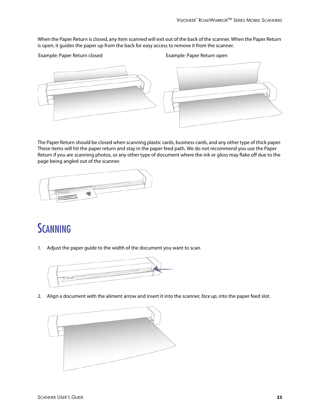When the Paper Return is closed, any item scanned will exit out of the back of the scanner. When the Paper Return is open, it guides the paper up from the back for easy access to remove it from the scanner.

Example: Paper Return closed Example: Paper Return open



The Paper Return should be closed when scanning plastic cards, business cards, and any other type of thick paper. These items will hit the paper return and stay in the paper feed path. We do not recommend you use the Paper Return if you are scanning photos, or any other type of document where the ink or gloss may flake off due to the page being angled out of the scanner.



### <span id="page-22-0"></span>**SCANNING**

1. Adjust the paper guide to the width of the document you want to scan.



2. Align a document with the aliment arrow and insert it into the scanner, face up, into the paper feed slot.

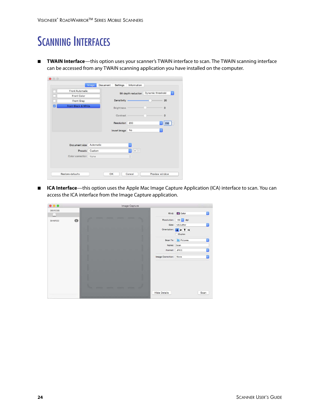### <span id="page-23-0"></span>SCANNING INTERFACES

■ **TWAIN Interface**—this option uses your scanner's TWAIN interface to scan. The TWAIN scanning interface can be accessed from any TWAIN scanning application you have installed on the computer.

|                          | Image     | Document | Settings          | Information               |                    |                 |
|--------------------------|-----------|----------|-------------------|---------------------------|--------------------|-----------------|
| Front Automatic          |           |          |                   |                           | Dynamic threshold  | $ \hat{\phi} $  |
| Front Color              |           |          |                   | Bit depth reduction       |                    |                 |
| Front Gray               |           |          | Sensitivity       |                           |                    | 20              |
| Front Black & White<br>V |           |          | <b>Brightness</b> |                           |                    | $\overline{0}$  |
|                          |           |          | Contrast          |                           |                    | $\mathbf{0}$    |
|                          |           |          | Resolution        | 200                       | $\hat{\mathbf{v}}$ | $200$ $\degree$ |
|                          |           |          | Invert image      | No                        | $\Diamond$         |                 |
| Document size            | Automatic |          |                   | $\Diamond$                |                    |                 |
| Presets                  | Custom    |          |                   | $\ddot{\circ}$<br>$+$ $-$ |                    |                 |
| Color correction         | None      |          |                   | $\hat{\cdot}$             |                    |                 |
|                          |           |          |                   |                           |                    |                 |

■ **ICA Interface**—this option uses the Apple Mac Image Capture Application (ICA) interface to scan. You can access the ICA interface from the Image Capture application.

| $\bullet\bullet\bullet$ | Image Capture       |              |                                         |                    |
|-------------------------|---------------------|--------------|-----------------------------------------|--------------------|
| <b>DEVICES</b>          |                     |              | Kind: Color                             | $ \bullet $        |
| $\bullet$<br>SHARED     |                     | Resolution:  | 150 <del>€</del> dpi                    |                    |
|                         |                     | Size:        | US Letter                               | $ \cdot $          |
|                         |                     | Orientation: | $\bullet$ $\bullet$ $\bullet$ $\bullet$ |                    |
|                         |                     |              | Duplex                                  |                    |
|                         |                     |              | Scan To: Pictures                       | $\ddot{\circ}$     |
|                         |                     |              | Name: Scan                              |                    |
|                         |                     | Format:      | JPEG                                    | $\overline{\cdot}$ |
|                         | Image Correction:   |              | None                                    | $ \hat{\cdot} $    |
|                         | n                   |              |                                         |                    |
|                         |                     |              |                                         |                    |
|                         |                     |              |                                         |                    |
|                         | <b>Hide Details</b> |              |                                         | Scan               |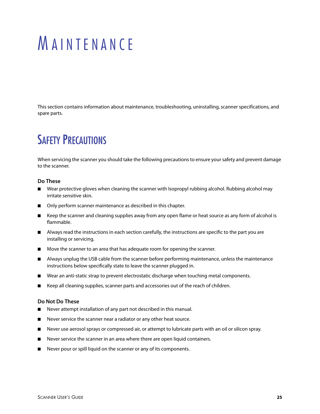## <span id="page-24-0"></span>**MAINTENANCE**

This section contains information about maintenance, troubleshooting, uninstalling, scanner specifications, and spare parts.

### <span id="page-24-1"></span>**SAFETY PRECAUTIONS**

When servicing the scanner you should take the following precautions to ensure your safety and prevent damage to the scanner.

#### **Do These**

- Wear protective gloves when cleaning the scanner with Isopropyl rubbing alcohol. Rubbing alcohol may irritate sensitive skin.
- Only perform scanner maintenance as described in this chapter.
- Keep the scanner and cleaning supplies away from any open flame or heat source as any form of alcohol is flammable.
- Always read the instructions in each section carefully, the instructions are specific to the part you are installing or servicing.
- Move the scanner to an area that has adequate room for opening the scanner.
- Always unplug the USB cable from the scanner before performing maintenance, unless the maintenance instructions below specifically state to leave the scanner plugged in.
- Wear an anti-static strap to prevent electrostatic discharge when touching metal components.
- Keep all cleaning supplies, scanner parts and accessories out of the reach of children.

#### **Do Not Do These**

- Never attempt installation of any part not described in this manual.
- Never service the scanner near a radiator or any other heat source.
- Never use aerosol sprays or compressed air, or attempt to lubricate parts with an oil or silicon spray.
- Never service the scanner in an area where there are open liquid containers.
- Never pour or spill liquid on the scanner or any of its components.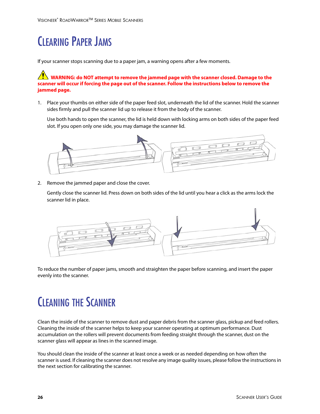## <span id="page-25-0"></span>**CLEARING PAPER JAMS**

If your scanner stops scanning due to a paper jam, a warning opens after a few moments.

**WARNING: do NOT attempt to remove the jammed page with the scanner closed. Damage to the scanner will occur if forcing the page out of the scanner. Follow the instructions below to remove the jammed page.**

1. Place your thumbs on either side of the paper feed slot, underneath the lid of the scanner. Hold the scanner sides firmly and pull the scanner lid up to release it from the body of the scanner.

Use both hands to open the scanner, the lid is held down with locking arms on both sides of the paper feed slot. If you open only one side, you may damage the scanner lid.



2. Remove the jammed paper and close the cover.

Gently close the scanner lid. Press down on both sides of the lid until you hear a click as the arms lock the scanner lid in place.



To reduce the number of paper jams, smooth and straighten the paper before scanning, and insert the paper evenly into the scanner.

### <span id="page-25-1"></span>CLEANING THE SCANNER

Clean the inside of the scanner to remove dust and paper debris from the scanner glass, pickup and feed rollers. Cleaning the inside of the scanner helps to keep your scanner operating at optimum performance. Dust accumulation on the rollers will prevent documents from feeding straight through the scanner, dust on the scanner glass will appear as lines in the scanned image.

You should clean the inside of the scanner at least once a week or as needed depending on how often the scanner is used. If cleaning the scanner does not resolve any image quality issues, please follow the instructions in the next section for calibrating the scanner.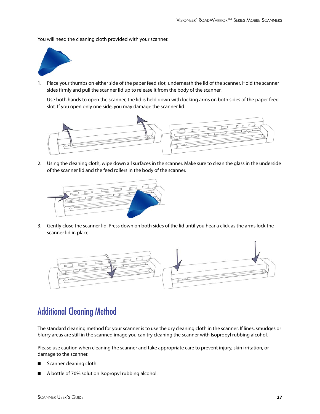You will need the cleaning cloth provided with your scanner.



1. Place your thumbs on either side of the paper feed slot, underneath the lid of the scanner. Hold the scanner sides firmly and pull the scanner lid up to release it from the body of the scanner.

Use both hands to open the scanner, the lid is held down with locking arms on both sides of the paper feed slot. If you open only one side, you may damage the scanner lid.



2. Using the cleaning cloth, wipe down all surfaces in the scanner. Make sure to clean the glass in the underside of the scanner lid and the feed rollers in the body of the scanner.



3. Gently close the scanner lid. Press down on both sides of the lid until you hear a click as the arms lock the scanner lid in place.



### <span id="page-26-0"></span>Additional Cleaning Method

The standard cleaning method for your scanner is to use the dry cleaning cloth in the scanner. If lines, smudges or blurry areas are still in the scanned image you can try cleaning the scanner with Isopropyl rubbing alcohol.

Please use caution when cleaning the scanner and take appropriate care to prevent injury, skin irritation, or damage to the scanner.

- Scanner cleaning cloth.
- A bottle of 70% solution Isopropyl rubbing alcohol.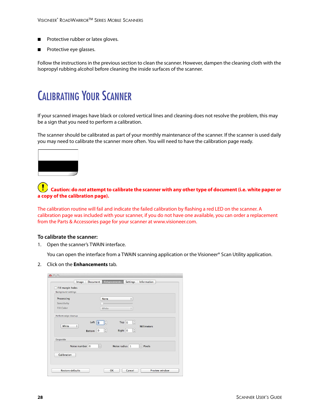- Protective rubber or latex gloves.
- Protective eye glasses.

Follow the instructions in the previous section to clean the scanner. However, dampen the cleaning cloth with the Isopropyl rubbing alcohol before cleaning the inside surfaces of the scanner.

### <span id="page-27-0"></span>CALIBRATING YOUR SCANNER

If your scanned images have black or colored vertical lines and cleaning does not resolve the problem, this may be a sign that you need to perform a calibration.

The scanner should be calibrated as part of your monthly maintenance of the scanner. If the scanner is used daily you may need to calibrate the scanner more often. You will need to have the calibration page ready.



**Caution: do not attempt to calibrate the scanner with any other type of document (i.e. white paper or a copy of the calibration page).** 

The calibration routine will fail and indicate the failed calibration by flashing a red LED on the scanner. A calibration page was included with your scanner, if you do not have one available, you can order a replacement from the Parts & Accessories page for your scanner at www.visioneer.com.

#### **To calibrate the scanner:**

1. Open the scanner's TWAIN interface.

You can open the interface from a TWAIN scanning application or the Visioneer® Scan Utility application.

2. Click on the **Enhancements** tab.

| <b>Background settings</b> |                                                                                            |                                                             |                                                              |                                                          |
|----------------------------|--------------------------------------------------------------------------------------------|-------------------------------------------------------------|--------------------------------------------------------------|----------------------------------------------------------|
| Processing                 |                                                                                            | None                                                        | $\div$                                                       |                                                          |
| Sensitivity                |                                                                                            |                                                             |                                                              |                                                          |
| Fill Color                 |                                                                                            | White                                                       |                                                              |                                                          |
| Perform edge cleanup       |                                                                                            |                                                             |                                                              |                                                          |
| White                      | Left<br>$\overline{0}$<br>$\frac{\mathbf{A}}{\mathbf{Y}}$<br>$\mathbf{0}$<br><b>Bottom</b> | Top 0<br>$ \cdot $<br>$\left[\frac{1}{2}\right]$<br>Right 0 | $\left  \frac{1}{x} \right $<br>$\left  \frac{1}{2} \right $ | <b>Millimeters</b>                                       |
| Despeckle                  |                                                                                            |                                                             |                                                              |                                                          |
|                            | Noise number 0                                                                             | $(\hat{\mathbf{t}})$<br>Noise radius 1                      |                                                              | $\left(\begin{matrix} 4 \\ 7 \end{matrix}\right)$ Pixels |
| Calibration                |                                                                                            |                                                             |                                                              |                                                          |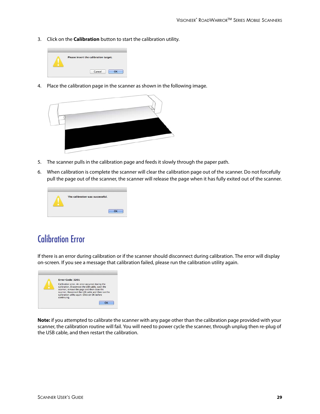3. Click on the **Calibration** button to start the calibration utility.



4. Place the calibration page in the scanner as shown in the following image.



- 5. The scanner pulls in the calibration page and feeds it slowly through the paper path.
- 6. When calibration is complete the scanner will clear the calibration page out of the scanner. Do not forcefully pull the page out of the scanner, the scanner will release the page when it has fully exited out of the scanner.



#### <span id="page-28-0"></span>Calibration Error

If there is an error during calibration or if the scanner should disconnect during calibration. The error will display on-screen. If you see a message that calibration failed, please run the calibration utility again.



**Note:** if you attempted to calibrate the scanner with any page other than the calibration page provided with your scanner, the calibration routine will fail. You will need to power cycle the scanner, through unplug then re-plug of the USB cable, and then restart the calibration.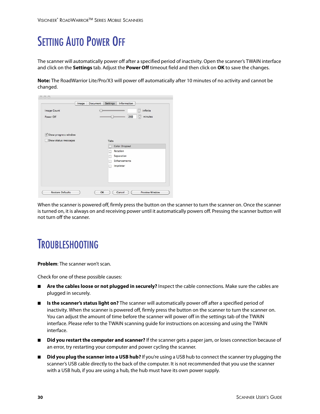## <span id="page-29-0"></span>SETTING AUTO POWER OFF

The scanner will automatically power off after a specified period of inactivity. Open the scanner's TWAIN interface and click on the **Settings** tab. Adjust the **Power Off** timeout field and then click on **OK** to save the changes.

**Note:** The RoadWarrior Lite/Pro/X3 will power off automatically after 10 minutes of no activity and cannot be changed.

|                      | Image | Document | <b>Settings</b> | Information          |                                        |
|----------------------|-------|----------|-----------------|----------------------|----------------------------------------|
| <b>Image Count</b>   |       |          |                 |                      | $\left(\frac{4}{x}\right)$<br>infinite |
| Power Off            |       |          |                 | 240                  | G<br>minutes                           |
| Show progress window |       |          |                 |                      |                                        |
|                      |       |          |                 |                      |                                        |
| Show status messages |       |          | Tabs            |                      |                                        |
|                      |       |          |                 | <b>Color Dropout</b> |                                        |
|                      |       |          |                 | Rotation             |                                        |
|                      |       |          |                 | Separation           |                                        |
|                      |       |          |                 | <b>Enhancements</b>  |                                        |
|                      |       |          |                 | Imprinter            |                                        |
|                      |       |          |                 |                      |                                        |
|                      |       |          |                 |                      |                                        |
|                      |       |          |                 |                      |                                        |
|                      |       |          |                 |                      |                                        |
|                      |       |          |                 |                      |                                        |

When the scanner is powered off, firmly press the button on the scanner to turn the scanner on. Once the scanner is turned on, it is always on and receiving power until it automatically powers off. Pressing the scanner button will not turn off the scanner.

### <span id="page-29-1"></span>**TROUBLESHOOTING**

**Problem**: The scanner won't scan.

Check for one of these possible causes:

- **Are the cables loose or not plugged in securely?** Inspect the cable connections. Make sure the cables are plugged in securely.
- **Is the scanner's status light on?** The scanner will automatically power off after a specified period of inactivity. When the scanner is powered off, firmly press the button on the scanner to turn the scanner on. You can adjust the amount of time before the scanner will power off in the settings tab of the TWAIN interface. Please refer to the TWAIN scanning guide for instructions on accessing and using the TWAIN interface.
- **Did you restart the computer and scanner?** If the scanner gets a paper jam, or loses connection because of an error, try restarting your computer and power cycling the scanner.
- **Did you plug the scanner into a USB hub?** If you're using a USB hub to connect the scanner try plugging the scanner's USB cable directly to the back of the computer. It is not recommended that you use the scanner with a USB hub, if you are using a hub, the hub must have its own power supply.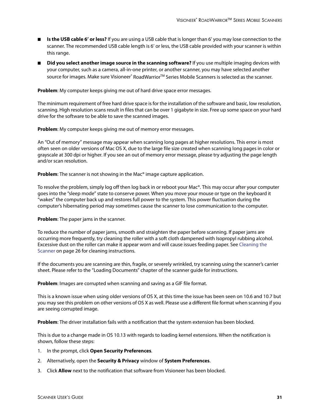- **Is the USB cable 6' or less?** If you are using a USB cable that is longer than 6' you may lose connection to the scanner. The recommended USB cable length is 6' or less, the USB cable provided with your scanner is within this range.
- **Did you select another image source in the scanning software?** If you use multiple imaging devices with your computer, such as a camera, all-in-one printer, or another scanner, you may have selected another source for images. Make sure Visioneer® RoadWarrior™ Series Mobile Scanners is selected as the scanner.

**Problem**: My computer keeps giving me out of hard drive space error messages.

The minimum requirement of free hard drive space is for the installation of the software and basic, low resolution, scanning. High resolution scans result in files that can be over 1 gigabyte in size. Free up some space on your hard drive for the software to be able to save the scanned images.

**Problem**: My computer keeps giving me out of memory error messages.

An "Out of memory" message may appear when scanning long pages at higher resolutions. This error is most often seen on older versions of Mac OS X, due to the large file size created when scanning long pages in color or grayscale at 300 dpi or higher. If you see an out of memory error message, please try adjusting the page length and/or scan resolution.

**Problem**: The scanner is not showing in the Mac<sup>®</sup> image capture application.

To resolve the problem, simply log off then log back in or reboot your Mac®. This may occur after your computer goes into the "sleep mode" state to conserve power. When you move your mouse or type on the keyboard it "wakes" the computer back up and restores full power to the system. This power fluctuation during the computer's hibernating period may sometimes cause the scanner to lose communication to the computer.

**Problem**: The paper jams in the scanner.

To reduce the number of paper jams, smooth and straighten the paper before scanning. If paper jams are occurring more frequently, try cleaning the roller with a soft cloth dampened with Isopropyl rubbing alcohol. Excessive dust on the roller can make it appear worn and will cause issues feeding paper. See [Cleaning the](#page-25-1)  [Scanner on page 26](#page-25-1) for cleaning instructions.

If the documents you are scanning are thin, fragile, or severely wrinkled, try scanning using the scanner's carrier sheet. Please refer to the "Loading Documents" chapter of the scanner guide for instructions.

**Problem**: Images are corrupted when scanning and saving as a GIF file format.

This is a known issue when using older versions of OS X, at this time the issue has been seen on 10.6 and 10.7 but you may see this problem on other versions of OS X as well. Please use a different file format when scanning if you are seeing corrupted image.

<span id="page-30-0"></span>**Problem**: The driver installation fails with a notification that the system extension has been blocked.

This is due to a change made in OS 10.13 with regards to loading kernel extensions. When the notification is shown, follow these steps:

- 1. In the prompt, click **Open Security Preferences**.
- 2. Alternatively, open the **Security & Privacy** window of **System Preferences**.
- 3. Click **Allow** next to the notification that software from Visioneer has been blocked.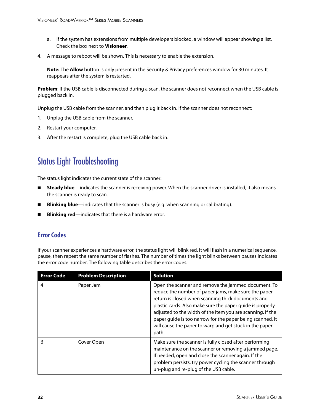- a. If the system has extensions from multiple developers blocked, a window will appear showing a list. Check the box next to **Visioneer**.
- 4. A message to reboot will be shown. This is necessary to enable the extension.

**Note:** The **Allow** button is only present in the Security & Privacy preferences window for 30 minutes. It reappears after the system is restarted.

**Problem**: If the USB cable is disconnected during a scan, the scanner does not reconnect when the USB cable is plugged back in.

Unplug the USB cable from the scanner, and then plug it back in. If the scanner does not reconnect:

- 1. Unplug the USB cable from the scanner.
- 2. Restart your computer.
- 3. After the restart is complete, plug the USB cable back in.

### <span id="page-31-0"></span>Status Light Troubleshooting

The status light indicates the current state of the scanner:

- **Steady blue**—indicates the scanner is receiving power. When the scanner driver is installed, it also means the scanner is ready to scan.
- **Blinking blue**—indicates that the scanner is busy (e.g. when scanning or calibrating).
- **Blinking red**—indicates that there is a hardware error.

#### **Error Codes**

If your scanner experiences a hardware error, the status light will blink red. It will flash in a numerical sequence, pause, then repeat the same number of flashes. The number of times the light blinks between pauses indicates the error code number. The following table describes the error codes.

| <b>Error Code</b> | <b>Problem Description</b> | <b>Solution</b>                                                                                                                                                                                                                                                                                                                                                                                                               |
|-------------------|----------------------------|-------------------------------------------------------------------------------------------------------------------------------------------------------------------------------------------------------------------------------------------------------------------------------------------------------------------------------------------------------------------------------------------------------------------------------|
| 4                 | Paper Jam                  | Open the scanner and remove the jammed document. To<br>reduce the number of paper jams, make sure the paper<br>return is closed when scanning thick documents and<br>plastic cards. Also make sure the paper guide is properly<br>adjusted to the width of the item you are scanning. If the<br>paper guide is too narrow for the paper being scanned, it<br>will cause the paper to warp and get stuck in the paper<br>path. |
| 6                 | Cover Open                 | Make sure the scanner is fully closed after performing<br>maintenance on the scanner or removing a jammed page.<br>If needed, open and close the scanner again. If the<br>problem persists, try power cycling the scanner through<br>un-plug and re-plug of the USB cable.                                                                                                                                                    |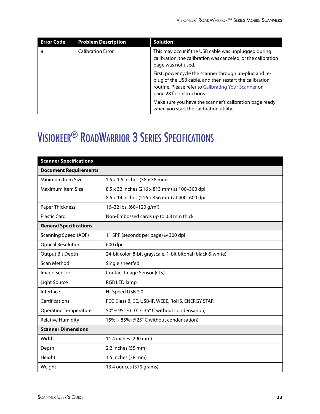| <b>Error Code</b> | <b>Problem Description</b> | <b>Solution</b>                                                                                                                                                                                        |
|-------------------|----------------------------|--------------------------------------------------------------------------------------------------------------------------------------------------------------------------------------------------------|
| 8                 | <b>Calibration Error</b>   | This may occur if the USB cable was unplugged during<br>calibration, the calibration was canceled, or the calibration<br>page was not used.                                                            |
|                   |                            | First, power cycle the scanner through un-plug and re-<br>plug of the USB cable, and then restart the calibration<br>routine. Please refer to Calibrating Your Scanner on<br>page 28 for instructions. |
|                   |                            | Make sure you have the scanner's calibration page ready<br>when you start the calibration utility.                                                                                                     |

### <span id="page-32-0"></span>VISIONEER® ROADWARRIOR 3 SERIES SPECIFICATIONS

| <b>Scanner Specifications</b> |                                                                               |  |  |  |
|-------------------------------|-------------------------------------------------------------------------------|--|--|--|
| <b>Document Requirements</b>  |                                                                               |  |  |  |
| Minimum Item Size             | 1.5 x 1.5 inches (38 x 38 mm)                                                 |  |  |  |
| Maximum Item Size             | 8.5 x 32 inches (216 x 813 mm) at 100-300 dpi                                 |  |  |  |
|                               | 8.5 x 14 inches (216 x 356 mm) at 400-600 dpi                                 |  |  |  |
| Paper Thickness               | 16-32 lbs. (60-120 g/m <sup>2</sup> )                                         |  |  |  |
| <b>Plastic Card</b>           | Non-Embossed cards up to 0.8 mm thick                                         |  |  |  |
| <b>General Specifications</b> |                                                                               |  |  |  |
| Scanning Speed (ADF)          | 11 SPP (seconds per page) @ 300 dpi                                           |  |  |  |
| <b>Optical Resolution</b>     | 600 dpi                                                                       |  |  |  |
| Output Bit Depth              | 24-bit color, 8-bit grayscale, 1-bit bitonal (black & white)                  |  |  |  |
| Scan Method                   | Single sheetfed                                                               |  |  |  |
| Image Sensor                  | Contact Image Sensor (CIS)                                                    |  |  |  |
| Light Source                  | RGB LED lamp                                                                  |  |  |  |
| Interface                     | Hi-Speed USB 2.0                                                              |  |  |  |
| Certifications                | FCC Class B, CE, USB-IF, WEEE, RoHS, ENERGY STAR                              |  |  |  |
| <b>Operating Temperature</b>  | $50^{\circ} \sim 95^{\circ}$ F (10° $\sim 35^{\circ}$ C without condensation) |  |  |  |
| <b>Relative Humidity</b>      | 15% ~ 85% (@25° C without condensation)                                       |  |  |  |
| <b>Scanner Dimensions</b>     |                                                                               |  |  |  |
| Width                         | 11.4 inches (290 mm)                                                          |  |  |  |
| Depth                         | 2.2 inches (55 mm)                                                            |  |  |  |
| Height                        | 1.5 inches (38 mm)                                                            |  |  |  |
| Weight                        | 13.4 ounces (379 grams)                                                       |  |  |  |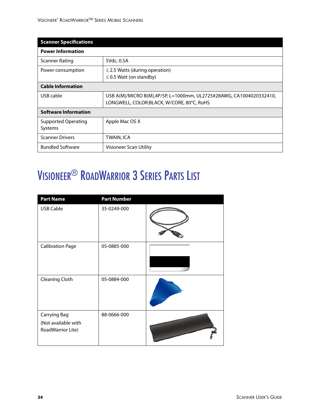| <b>Scanner Specifications</b>         |                                                                                                                  |  |  |  |
|---------------------------------------|------------------------------------------------------------------------------------------------------------------|--|--|--|
| <b>Power Information</b>              |                                                                                                                  |  |  |  |
| Scanner Rating                        | 5Vdc, 0.5A                                                                                                       |  |  |  |
| Power consumption                     | $\leq$ 2.5 Watts (during operation)<br>$\leq$ 0.5 Watt (on standby)                                              |  |  |  |
| <b>Cable Information</b>              |                                                                                                                  |  |  |  |
| USB cable                             | USB A(M)/MICRO B(M),4P/5P, L=1000mm, UL2725#28AWG, CA1004020332410,<br>LONGWELL, COLOR:BLACK, W/CORE, 80°C, RoHS |  |  |  |
| <b>Software Information</b>           |                                                                                                                  |  |  |  |
| <b>Supported Operating</b><br>Systems | Apple Mac OS X                                                                                                   |  |  |  |
| <b>Scanner Drivers</b>                | TWAIN, ICA                                                                                                       |  |  |  |
| <b>Bundled Software</b>               | Visioneer Scan Utility                                                                                           |  |  |  |

## <span id="page-33-0"></span>VISIONEER® ROADWARRIOR 3 SERIES PARTS LIST

| <b>Part Name</b>                                         | <b>Part Number</b> |  |  |
|----------------------------------------------------------|--------------------|--|--|
| <b>USB Cable</b>                                         | 35-0249-000        |  |  |
| <b>Calibration Page</b>                                  | 05-0885-000        |  |  |
| Cleaning Cloth                                           | 05-0884-000        |  |  |
| Carrying Bag<br>(Not available with<br>RoadWarrior Lite) | 88-0666-000        |  |  |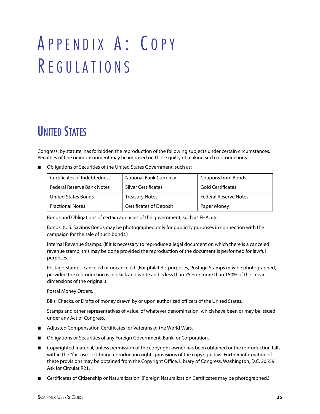# <span id="page-34-0"></span>A PPENDIX A: C OPY R EGULATIONS

### <span id="page-34-1"></span>UNITED STATES

Congress, by statute, has forbidden the reproduction of the following subjects under certain circumstances. Penalties of fine or imprisonment may be imposed on those guilty of making such reproductions.

Obligations or Securities of the United States Government, such as:

| Certificates of Indebtedness      | <b>National Bank Currency</b>  | <b>Coupons from Bonds</b>    |
|-----------------------------------|--------------------------------|------------------------------|
| <b>Federal Reserve Bank Notes</b> | <b>Silver Certificates</b>     | <b>Gold Certificates</b>     |
| United States Bonds               | <b>Treasury Notes</b>          | <b>Federal Reserve Notes</b> |
| <b>Fractional Notes</b>           | <b>Certificates of Deposit</b> | Paper Money                  |

Bonds and Obligations of certain agencies of the government, such as FHA, etc.

Bonds. (U.S. Savings Bonds may be photographed only for publicity purposes in connection with the campaign for the sale of such bonds.)

Internal Revenue Stamps. (If it is necessary to reproduce a legal document on which there is a canceled revenue stamp, this may be done provided the reproduction of the document is performed for lawful purposes.)

Postage Stamps, canceled or uncanceled. (For philatelic purposes, Postage Stamps may be photographed, provided the reproduction is in black and white and is less than 75% or more than 150% of the linear dimensions of the original.)

Postal Money Orders.

Bills, Checks, or Drafts of money drawn by or upon authorized officers of the United States.

Stamps and other representatives of value, of whatever denomination, which have been or may be issued under any Act of Congress.

- Adjusted Compensation Certificates for Veterans of the World Wars.
- Obligations or Securities of any Foreign Government, Bank, or Corporation.
- Copyrighted material, unless permission of the copyright owner has been obtained or the reproduction falls within the "fair use" or library reproduction rights provisions of the copyright law. Further information of these provisions may be obtained from the Copyright Office, Library of Congress, Washington, D.C. 20559. Ask for Circular R21.
- Certificates of Citizenship or Naturalization. (Foreign Naturalization Certificates may be photographed.)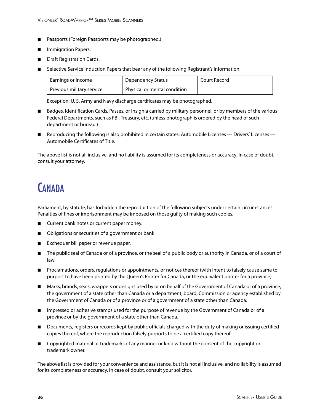- Passports (Foreign Passports may be photographed.)
- Immigration Papers.
- Draft Registration Cards.
- Selective Service Induction Papers that bear any of the following Registrant's information:

| Earnings or Income        | <b>Dependency Status</b>     | Court Record |
|---------------------------|------------------------------|--------------|
| Previous military service | Physical or mental condition |              |

Exception: U. S. Army and Navy discharge certificates may be photographed.

- Badges, Identification Cards, Passes, or Insignia carried by military personnel, or by members of the various Federal Departments, such as FBI, Treasury, etc. (unless photograph is ordered by the head of such department or bureau.)
- Reproducing the following is also prohibited in certain states: Automobile Licenses Drivers' Licenses Automobile Certificates of Title.

The above list is not all inclusive, and no liability is assumed for its completeness or accuracy. In case of doubt, consult your attorney.

### <span id="page-35-0"></span>**CANADA**

Parliament, by statute, has forbidden the reproduction of the following subjects under certain circumstances. Penalties of fines or imprisonment may be imposed on those guilty of making such copies.

- Current bank notes or current paper money.
- Obligations or securities of a government or bank.
- Exchequer bill paper or revenue paper.
- The public seal of Canada or of a province, or the seal of a public body or authority in Canada, or of a court of law.
- Proclamations, orders, regulations or appointments, or notices thereof (with intent to falsely cause same to purport to have been printed by the Queen's Printer for Canada, or the equivalent printer for a province).
- Marks, brands, seals, wrappers or designs used by or on behalf of the Government of Canada or of a province, the government of a state other than Canada or a department, board, Commission or agency established by the Government of Canada or of a province or of a government of a state other than Canada.
- Impressed or adhesive stamps used for the purpose of revenue by the Government of Canada or of a province or by the government of a state other than Canada.
- Documents, registers or records kept by public officials charged with the duty of making or issuing certified copies thereof, where the reproduction falsely purports to be a certified copy thereof.
- Copyrighted material or trademarks of any manner or kind without the consent of the copyright or trademark owner.

The above list is provided for your convenience and assistance, but it is not all inclusive, and no liability is assumed for its completeness or accuracy. In case of doubt, consult your solicitor.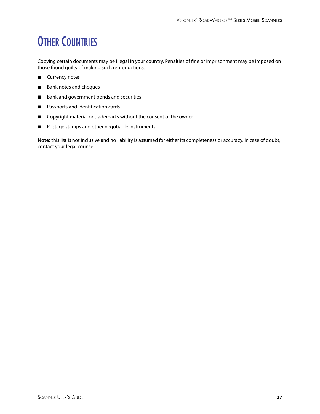## <span id="page-36-0"></span>**OTHER COUNTRIES**

Copying certain documents may be illegal in your country. Penalties of fine or imprisonment may be imposed on those found guilty of making such reproductions.

- Currency notes
- Bank notes and cheques
- Bank and government bonds and securities
- Passports and identification cards
- Copyright material or trademarks without the consent of the owner
- Postage stamps and other negotiable instruments

**Note:** this list is not inclusive and no liability is assumed for either its completeness or accuracy. In case of doubt, contact your legal counsel.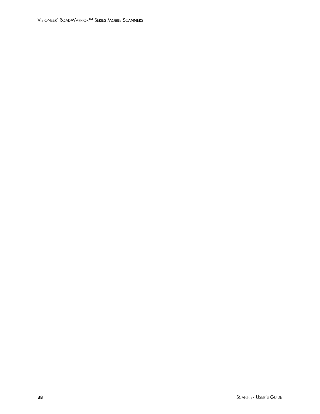VISIONEER® ROADWARRIORTM SERIES MOBILE SCANNERS